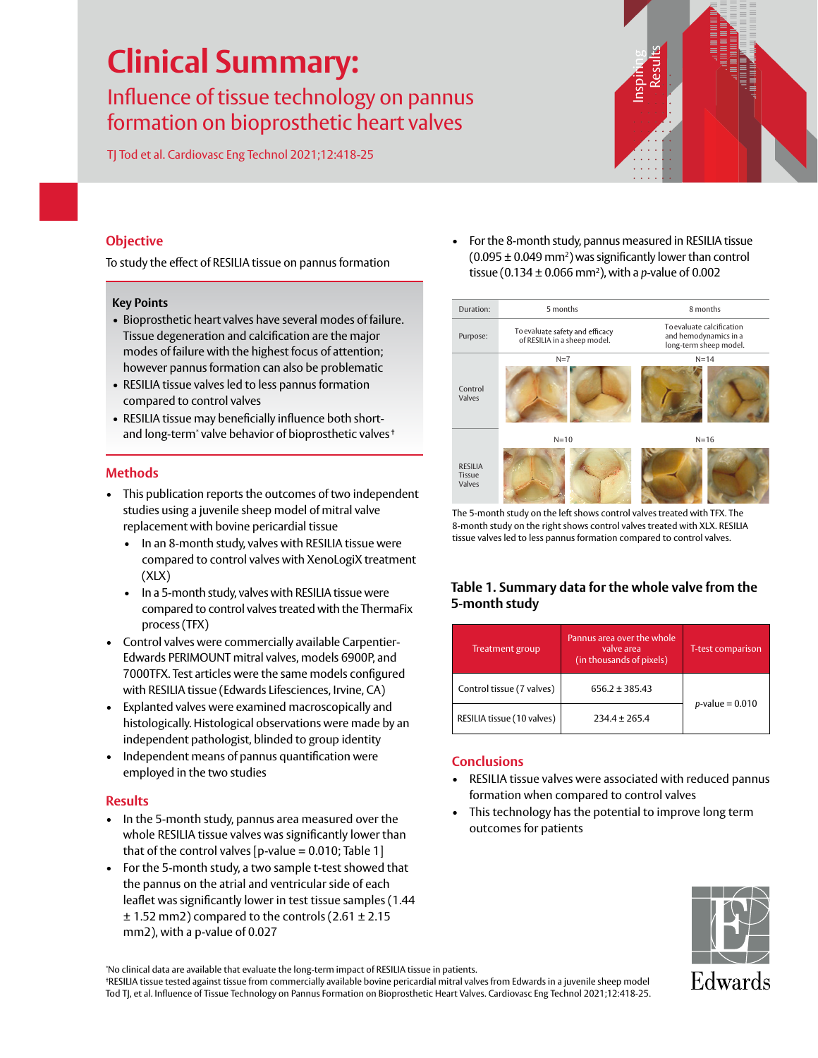# **Clinical Summary:**

## Influence of tissue technology on pannus formation on bioprosthetic heart valves

TJ Tod et al. Cardiovasc Eng Technol 2021;12:418-25



### **Objective**

To study the effect of RESILIA tissue on pannus formation

#### **Key Points**

- Bioprosthetic heart valves have several modes of failure. Tissue degeneration and calcification are the major modes of failure with the highest focus of attention; however pannus formation can also be problematic
- RESILIA tissue valves led to less pannus formation compared to control valves
- RESILIA tissue may beneficially influence both shortand long-term\* valve behavior of bioprosthetic valves †

#### **Methods**

- This publication reports the outcomes of two independent studies using a juvenile sheep model of mitral valve replacement with bovine pericardial tissue
	- In an 8-month study, valves with RESILIA tissue were compared to control valves with XenoLogiX treatment (XLX)
	- In a 5-month study, valves with RESILIA tissue were compared to control valves treated with the ThermaFix process (TFX)
- Control valves were commercially available Carpentier-Edwards PERIMOUNT mitral valves, models 6900P, and 7000TFX. Test articles were the same models configured with RESILIA tissue (Edwards Lifesciences, Irvine, CA)
- Explanted valves were examined macroscopically and histologically. Histological observations were made by an independent pathologist, blinded to group identity
- Independent means of pannus quantification were employed in the two studies

#### **Results**

- In the 5-month study, pannus area measured over the whole RESILIA tissue valves was significantly lower than that of the control valves  $[p$ -value = 0.010; Table 1 $]$
- For the 5-month study, a two sample t-test showed that the pannus on the atrial and ventricular side of each leaflet was significantly lower in test tissue samples (1.44  $\pm$  1.52 mm2) compared to the controls (2.61  $\pm$  2.15 mm2), with a p-value of 0.027

• For the 8-month study, pannus measured in RESILIA tissue  $(0.095 \pm 0.049 \,\text{mm}^2)$  was significantly lower than control tissue (0.134 ± 0.066 mm2 ), with a *p*-value of 0.002

| Duration:                          | 5 months                                                        | 8 months                                                                     |  |
|------------------------------------|-----------------------------------------------------------------|------------------------------------------------------------------------------|--|
| Purpose:                           | To evaluate safety and efficacy<br>of RESILIA in a sheep model. | To evaluate calcification<br>and hemodynamics in a<br>long-term sheep model. |  |
|                                    | $N=7$                                                           | $N = 14$                                                                     |  |
| Control<br>Valves                  |                                                                 |                                                                              |  |
|                                    | $N=10$                                                          | $N = 16$                                                                     |  |
| <b>RESILIA</b><br>Tissue<br>Valves |                                                                 |                                                                              |  |

The 5-month study on the left shows control valves treated with TFX. The 8-month study on the right shows control valves treated with XLX. RESILIA tissue valves led to less pannus formation compared to control valves.

#### **Table 1. Summary data for the whole valve from the 5-month study**

| <b>Treatment group</b>     | Pannus area over the whole<br>valve area<br>(in thousands of pixels) | <b>T-test comparison</b> |  |
|----------------------------|----------------------------------------------------------------------|--------------------------|--|
| Control tissue (7 valves)  | $656.2 \pm 385.43$                                                   | $p$ -value = 0.010       |  |
| RESILIA tissue (10 valves) | $234.4 \pm 265.4$                                                    |                          |  |

#### **Conclusions**

- RESILIA tissue valves were associated with reduced pannus formation when compared to control valves
- This technology has the potential to improve long term outcomes for patients



\* No clinical data are available that evaluate the long-term impact of RESILIA tissue in patients.

† RESILIA tissue tested against tissue from commercially available bovine pericardial mitral valves from Edwards in a juvenile sheep model Tod TJ, et al. Influence of Tissue Technology on Pannus Formation on Bioprosthetic Heart Valves. Cardiovasc Eng Technol 2021;12:418-25.